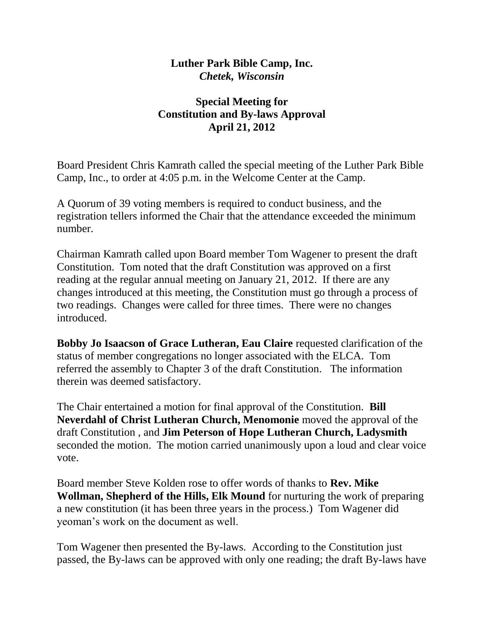## **Luther Park Bible Camp, Inc.** *Chetek, Wisconsin*

## **Special Meeting for Constitution and By-laws Approval April 21, 2012**

Board President Chris Kamrath called the special meeting of the Luther Park Bible Camp, Inc., to order at 4:05 p.m. in the Welcome Center at the Camp.

A Quorum of 39 voting members is required to conduct business, and the registration tellers informed the Chair that the attendance exceeded the minimum number.

Chairman Kamrath called upon Board member Tom Wagener to present the draft Constitution. Tom noted that the draft Constitution was approved on a first reading at the regular annual meeting on January 21, 2012. If there are any changes introduced at this meeting, the Constitution must go through a process of two readings. Changes were called for three times. There were no changes introduced.

**Bobby Jo Isaacson of Grace Lutheran, Eau Claire** requested clarification of the status of member congregations no longer associated with the ELCA. Tom referred the assembly to Chapter 3 of the draft Constitution. The information therein was deemed satisfactory.

The Chair entertained a motion for final approval of the Constitution. **Bill Neverdahl of Christ Lutheran Church, Menomonie** moved the approval of the draft Constitution , and **Jim Peterson of Hope Lutheran Church, Ladysmith** seconded the motion. The motion carried unanimously upon a loud and clear voice vote.

Board member Steve Kolden rose to offer words of thanks to **Rev. Mike Wollman, Shepherd of the Hills, Elk Mound** for nurturing the work of preparing a new constitution (it has been three years in the process.) Tom Wagener did yeoman's work on the document as well.

Tom Wagener then presented the By-laws. According to the Constitution just passed, the By-laws can be approved with only one reading; the draft By-laws have